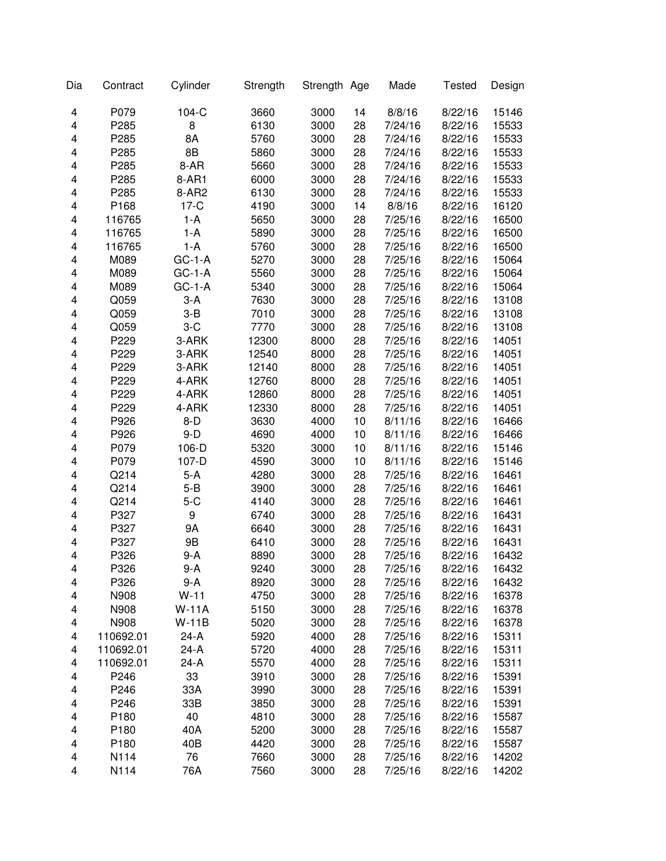| Dia | Contract         | Cylinder     | Strength | Strength Age |    | Made    | <b>Tested</b> | Design |
|-----|------------------|--------------|----------|--------------|----|---------|---------------|--------|
| 4   | P079             | 104-C        | 3660     | 3000         | 14 | 8/8/16  | 8/22/16       | 15146  |
| 4   | P285             | 8            | 6130     | 3000         | 28 | 7/24/16 | 8/22/16       | 15533  |
| 4   | P285             | 8A           | 5760     | 3000         | 28 | 7/24/16 | 8/22/16       | 15533  |
| 4   | P285             | 8B           | 5860     | 3000         | 28 | 7/24/16 | 8/22/16       | 15533  |
| 4   | P285             | 8-AR         | 5660     | 3000         | 28 | 7/24/16 | 8/22/16       | 15533  |
| 4   | P285             | 8-AR1        | 6000     | 3000         | 28 | 7/24/16 | 8/22/16       | 15533  |
| 4   | P285             | 8-AR2        | 6130     | 3000         | 28 | 7/24/16 | 8/22/16       | 15533  |
| 4   | P168             | $17-C$       | 4190     | 3000         | 14 | 8/8/16  | 8/22/16       | 16120  |
| 4   | 116765           | $1-A$        | 5650     | 3000         | 28 | 7/25/16 | 8/22/16       | 16500  |
| 4   | 116765           | $1-A$        | 5890     | 3000         | 28 | 7/25/16 | 8/22/16       | 16500  |
| 4   | 116765           | $1-A$        | 5760     | 3000         | 28 | 7/25/16 | 8/22/16       | 16500  |
| 4   | M089             | $GC-1-A$     | 5270     | 3000         | 28 | 7/25/16 | 8/22/16       | 15064  |
| 4   | M089             | $GC-1-A$     | 5560     | 3000         | 28 | 7/25/16 | 8/22/16       | 15064  |
| 4   | M089             | $GC-1-A$     | 5340     | 3000         | 28 | 7/25/16 | 8/22/16       | 15064  |
| 4   | Q059             | $3-A$        | 7630     | 3000         | 28 | 7/25/16 | 8/22/16       | 13108  |
| 4   | Q059             | $3 - B$      | 7010     | 3000         | 28 | 7/25/16 | 8/22/16       | 13108  |
| 4   | Q059             | $3-C$        | 7770     | 3000         | 28 | 7/25/16 | 8/22/16       | 13108  |
| 4   | P229             | 3-ARK        | 12300    | 8000         | 28 | 7/25/16 | 8/22/16       | 14051  |
| 4   | P229             | 3-ARK        | 12540    | 8000         | 28 | 7/25/16 | 8/22/16       | 14051  |
| 4   | P229             | 3-ARK        | 12140    | 8000         | 28 | 7/25/16 | 8/22/16       | 14051  |
| 4   | P229             | 4-ARK        | 12760    | 8000         | 28 | 7/25/16 | 8/22/16       | 14051  |
| 4   | P229             | 4-ARK        | 12860    | 8000         | 28 | 7/25/16 | 8/22/16       | 14051  |
| 4   | P229             | 4-ARK        | 12330    | 8000         | 28 | 7/25/16 | 8/22/16       | 14051  |
| 4   | P926             | $8-D$        | 3630     | 4000         | 10 | 8/11/16 | 8/22/16       | 16466  |
| 4   | P926             | $9-D$        | 4690     | 4000         | 10 | 8/11/16 | 8/22/16       | 16466  |
| 4   | P079             | 106-D        | 5320     | 3000         | 10 | 8/11/16 | 8/22/16       | 15146  |
| 4   | P079             | 107-D        | 4590     | 3000         | 10 | 8/11/16 | 8/22/16       | 15146  |
| 4   | Q214             | $5-A$        | 4280     | 3000         | 28 | 7/25/16 | 8/22/16       | 16461  |
| 4   | Q214             | $5 - B$      | 3900     | 3000         | 28 | 7/25/16 | 8/22/16       | 16461  |
| 4   | Q214             | $5-C$        | 4140     | 3000         | 28 | 7/25/16 | 8/22/16       | 16461  |
| 4   | P327             | 9            | 6740     | 3000         | 28 | 7/25/16 | 8/22/16       | 16431  |
| 4   | P327             | 9Α           | 6640     | 3000         | 28 | 7/25/16 | 8/22/16       | 16431  |
| 4   | P327             | 9B           | 6410     | 3000         | 28 | 7/25/16 | 8/22/16       | 16431  |
| 4   | P326             | $9-A$        | 8890     | 3000         | 28 | 7/25/16 | 8/22/16       | 16432  |
| 4   | P326             | 9-A          | 9240     | 3000         | 28 | 7/25/16 | 8/22/16       | 16432  |
| 4   | P326             | 9-A          | 8920     | 3000         | 28 | 7/25/16 | 8/22/16       | 16432  |
| 4   | N908             | $W-11$       | 4750     | 3000         | 28 | 7/25/16 | 8/22/16       | 16378  |
| 4   | N908             | <b>W-11A</b> | 5150     | 3000         | 28 | 7/25/16 | 8/22/16       | 16378  |
| 4   | N908             | $W-11B$      | 5020     | 3000         | 28 | 7/25/16 | 8/22/16       | 16378  |
| 4   | 110692.01        | $24-A$       | 5920     | 4000         | 28 | 7/25/16 | 8/22/16       | 15311  |
| 4   | 110692.01        | $24-A$       | 5720     | 4000         | 28 | 7/25/16 | 8/22/16       | 15311  |
| 4   | 110692.01        | 24-A         | 5570     | 4000         | 28 | 7/25/16 | 8/22/16       | 15311  |
| 4   | P246             | 33           | 3910     | 3000         | 28 | 7/25/16 | 8/22/16       | 15391  |
| 4   | P246             | 33A          | 3990     | 3000         | 28 | 7/25/16 | 8/22/16       | 15391  |
| 4   | P246             | 33B          | 3850     | 3000         | 28 | 7/25/16 | 8/22/16       | 15391  |
| 4   | P <sub>180</sub> | 40           | 4810     | 3000         | 28 | 7/25/16 | 8/22/16       | 15587  |
| 4   | P <sub>180</sub> | 40A          | 5200     | 3000         | 28 | 7/25/16 | 8/22/16       | 15587  |
| 4   | P180             | 40B          | 4420     | 3000         | 28 | 7/25/16 | 8/22/16       | 15587  |
| 4   | N114             | 76           | 7660     | 3000         | 28 | 7/25/16 | 8/22/16       | 14202  |
| 4   | N114             | 76A          | 7560     | 3000         | 28 | 7/25/16 | 8/22/16       | 14202  |
|     |                  |              |          |              |    |         |               |        |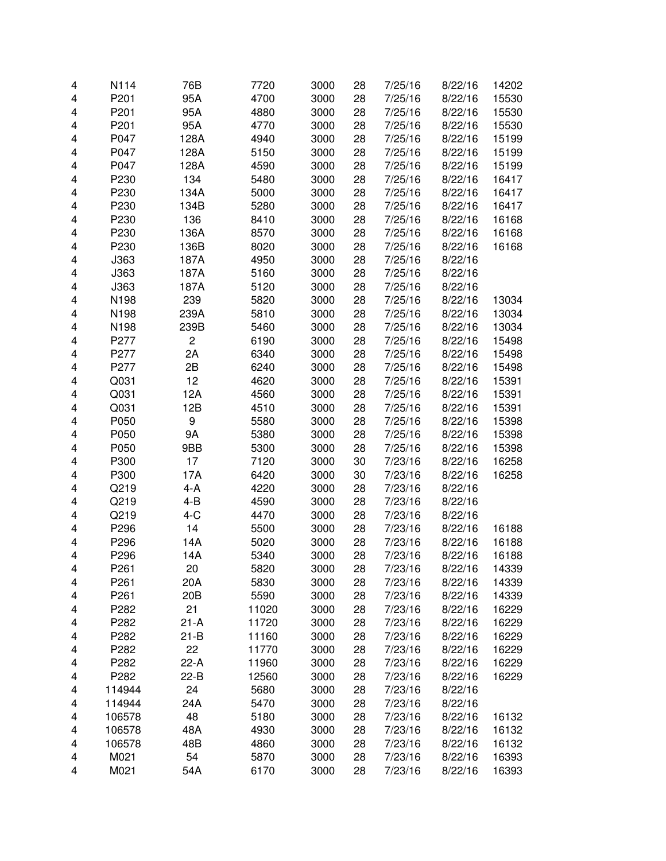| 4 | N114             | 76B             | 7720  | 3000 | 28 | 7/25/16 | 8/22/16 | 14202 |
|---|------------------|-----------------|-------|------|----|---------|---------|-------|
| 4 | P201             | 95A             | 4700  | 3000 | 28 | 7/25/16 | 8/22/16 | 15530 |
| 4 | P201             | 95A             | 4880  | 3000 | 28 | 7/25/16 | 8/22/16 | 15530 |
| 4 | P201             | 95A             | 4770  | 3000 | 28 | 7/25/16 | 8/22/16 | 15530 |
| 4 | P047             | 128A            | 4940  | 3000 | 28 | 7/25/16 | 8/22/16 | 15199 |
| 4 | P047             | 128A            | 5150  | 3000 | 28 | 7/25/16 | 8/22/16 | 15199 |
| 4 | P047             | 128A            | 4590  | 3000 | 28 | 7/25/16 | 8/22/16 | 15199 |
| 4 | P230             | 134             | 5480  | 3000 | 28 | 7/25/16 | 8/22/16 | 16417 |
| 4 | P230             | 134A            | 5000  | 3000 | 28 | 7/25/16 | 8/22/16 | 16417 |
| 4 | P230             | 134B            | 5280  | 3000 | 28 | 7/25/16 | 8/22/16 | 16417 |
| 4 | P230             | 136             | 8410  | 3000 | 28 | 7/25/16 | 8/22/16 | 16168 |
| 4 | P230             | 136A            | 8570  | 3000 | 28 | 7/25/16 | 8/22/16 | 16168 |
| 4 | P230             | 136B            | 8020  | 3000 | 28 | 7/25/16 | 8/22/16 | 16168 |
| 4 | J363             | 187A            | 4950  | 3000 | 28 | 7/25/16 | 8/22/16 |       |
| 4 | J363             | 187A            | 5160  | 3000 | 28 | 7/25/16 | 8/22/16 |       |
| 4 | J363             | 187A            | 5120  | 3000 | 28 | 7/25/16 | 8/22/16 |       |
| 4 | N198             | 239             | 5820  | 3000 | 28 | 7/25/16 | 8/22/16 | 13034 |
| 4 | N198             | 239A            | 5810  | 3000 | 28 | 7/25/16 | 8/22/16 | 13034 |
| 4 | N198             | 239B            | 5460  | 3000 | 28 | 7/25/16 | 8/22/16 | 13034 |
| 4 | P277             | $\mathbf 2$     | 6190  | 3000 | 28 | 7/25/16 | 8/22/16 | 15498 |
| 4 | P277             | 2A              | 6340  | 3000 | 28 | 7/25/16 | 8/22/16 | 15498 |
| 4 | P277             | 2B              | 6240  | 3000 | 28 | 7/25/16 | 8/22/16 | 15498 |
| 4 | Q031             | 12              | 4620  | 3000 | 28 | 7/25/16 | 8/22/16 | 15391 |
| 4 | Q031             | 12A             | 4560  | 3000 | 28 | 7/25/16 | 8/22/16 | 15391 |
| 4 | Q031             | 12B             | 4510  | 3000 | 28 | 7/25/16 | 8/22/16 | 15391 |
| 4 | P050             | 9               | 5580  | 3000 | 28 | 7/25/16 | 8/22/16 | 15398 |
| 4 | P050             | <b>9A</b>       | 5380  | 3000 | 28 | 7/25/16 | 8/22/16 | 15398 |
| 4 | P050             | 9BB             | 5300  | 3000 | 28 | 7/25/16 | 8/22/16 | 15398 |
| 4 | P300             | 17              | 7120  | 3000 | 30 | 7/23/16 | 8/22/16 | 16258 |
| 4 | P300             | 17A             | 6420  | 3000 | 30 | 7/23/16 | 8/22/16 | 16258 |
| 4 | Q219             | 4-A             | 4220  | 3000 | 28 | 7/23/16 | 8/22/16 |       |
| 4 | Q219             | $4 - B$         | 4590  | 3000 | 28 | 7/23/16 | 8/22/16 |       |
| 4 | Q219             | $4-C$           | 4470  | 3000 | 28 | 7/23/16 | 8/22/16 |       |
| 4 | P296             | 14              | 5500  | 3000 | 28 | 7/23/16 | 8/22/16 | 16188 |
| 4 | P296             | 14A             | 5020  | 3000 | 28 | 7/23/16 | 8/22/16 | 16188 |
| 4 | P296             | 14A             | 5340  | 3000 | 28 | 7/23/16 | 8/22/16 | 16188 |
| 4 | P <sub>261</sub> | 20              | 5820  | 3000 | 28 | 7/23/16 | 8/22/16 | 14339 |
| 4 | P261             | 20A             | 5830  | 3000 | 28 | 7/23/16 | 8/22/16 | 14339 |
| 4 | P261             | 20 <sub>B</sub> | 5590  | 3000 | 28 | 7/23/16 | 8/22/16 | 14339 |
| 4 | P282             | 21              | 11020 | 3000 | 28 | 7/23/16 | 8/22/16 | 16229 |
| 4 | P282             | $21-A$          | 11720 | 3000 | 28 | 7/23/16 | 8/22/16 | 16229 |
| 4 | P282             | $21-B$          | 11160 | 3000 | 28 | 7/23/16 | 8/22/16 | 16229 |
| 4 | P282             | 22              | 11770 | 3000 | 28 | 7/23/16 | 8/22/16 | 16229 |
| 4 | P282             | $22-A$          | 11960 | 3000 | 28 | 7/23/16 | 8/22/16 | 16229 |
| 4 | P282             | $22-B$          | 12560 | 3000 | 28 | 7/23/16 | 8/22/16 | 16229 |
| 4 | 114944           | 24              | 5680  | 3000 | 28 | 7/23/16 | 8/22/16 |       |
| 4 | 114944           | 24A             | 5470  | 3000 | 28 | 7/23/16 | 8/22/16 |       |
| 4 | 106578           | 48              | 5180  | 3000 | 28 | 7/23/16 | 8/22/16 | 16132 |
| 4 | 106578           | 48A             | 4930  | 3000 | 28 | 7/23/16 | 8/22/16 | 16132 |
| 4 | 106578           | 48B             | 4860  | 3000 | 28 | 7/23/16 | 8/22/16 | 16132 |
| 4 | M021             | 54              | 5870  | 3000 | 28 | 7/23/16 | 8/22/16 | 16393 |
| 4 | M021             | 54A             | 6170  | 3000 | 28 | 7/23/16 | 8/22/16 | 16393 |
|   |                  |                 |       |      |    |         |         |       |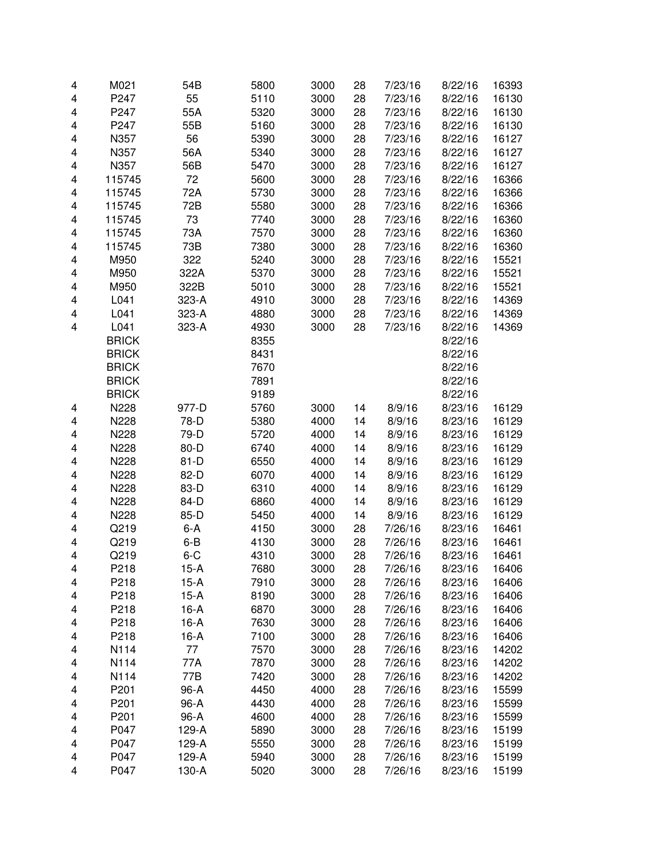| 4 | M021         | 54B     | 5800 | 3000 | 28 | 7/23/16 | 8/22/16 | 16393 |
|---|--------------|---------|------|------|----|---------|---------|-------|
| 4 | P247         | 55      | 5110 | 3000 | 28 | 7/23/16 | 8/22/16 | 16130 |
| 4 | P247         | 55A     | 5320 | 3000 | 28 | 7/23/16 | 8/22/16 | 16130 |
| 4 | P247         | 55B     | 5160 | 3000 | 28 | 7/23/16 | 8/22/16 | 16130 |
| 4 | N357         | 56      | 5390 | 3000 | 28 | 7/23/16 | 8/22/16 | 16127 |
| 4 | N357         | 56A     | 5340 | 3000 | 28 | 7/23/16 | 8/22/16 | 16127 |
| 4 | N357         | 56B     | 5470 | 3000 | 28 | 7/23/16 | 8/22/16 | 16127 |
| 4 | 115745       | 72      | 5600 | 3000 | 28 | 7/23/16 | 8/22/16 | 16366 |
| 4 | 115745       | 72A     | 5730 | 3000 | 28 | 7/23/16 | 8/22/16 | 16366 |
| 4 | 115745       | 72B     | 5580 | 3000 | 28 | 7/23/16 | 8/22/16 | 16366 |
| 4 | 115745       | 73      | 7740 | 3000 | 28 | 7/23/16 | 8/22/16 | 16360 |
| 4 | 115745       | 73A     | 7570 | 3000 | 28 | 7/23/16 | 8/22/16 | 16360 |
| 4 | 115745       | 73B     | 7380 | 3000 | 28 | 7/23/16 | 8/22/16 | 16360 |
| 4 | M950         | 322     | 5240 | 3000 | 28 | 7/23/16 | 8/22/16 | 15521 |
| 4 | M950         | 322A    | 5370 | 3000 | 28 | 7/23/16 | 8/22/16 | 15521 |
| 4 | M950         | 322B    | 5010 | 3000 | 28 | 7/23/16 | 8/22/16 | 15521 |
| 4 | L041         | 323-A   | 4910 | 3000 | 28 | 7/23/16 | 8/22/16 | 14369 |
| 4 | L041         | 323-A   | 4880 | 3000 | 28 | 7/23/16 | 8/22/16 | 14369 |
| 4 | L041         | 323-A   | 4930 | 3000 | 28 | 7/23/16 | 8/22/16 | 14369 |
|   | <b>BRICK</b> |         | 8355 |      |    |         | 8/22/16 |       |
|   | <b>BRICK</b> |         | 8431 |      |    |         | 8/22/16 |       |
|   | <b>BRICK</b> |         | 7670 |      |    |         | 8/22/16 |       |
|   | <b>BRICK</b> |         | 7891 |      |    |         | 8/22/16 |       |
|   | <b>BRICK</b> |         | 9189 |      |    |         | 8/22/16 |       |
| 4 | N228         | 977-D   | 5760 | 3000 | 14 | 8/9/16  | 8/23/16 | 16129 |
| 4 | N228         | 78-D    | 5380 | 4000 | 14 | 8/9/16  | 8/23/16 | 16129 |
| 4 | N228         | 79-D    | 5720 | 4000 | 14 | 8/9/16  | 8/23/16 | 16129 |
| 4 | N228         | 80-D    | 6740 | 4000 | 14 | 8/9/16  | 8/23/16 | 16129 |
| 4 | N228         | $81-D$  | 6550 | 4000 | 14 | 8/9/16  | 8/23/16 | 16129 |
| 4 | N228         | 82-D    | 6070 | 4000 | 14 | 8/9/16  | 8/23/16 | 16129 |
| 4 | N228         | 83-D    | 6310 | 4000 | 14 | 8/9/16  | 8/23/16 | 16129 |
| 4 | N228         | 84-D    | 6860 | 4000 | 14 | 8/9/16  | 8/23/16 | 16129 |
| 4 | N228         | 85-D    | 5450 | 4000 | 14 | 8/9/16  | 8/23/16 | 16129 |
| 4 | Q219         | $6-A$   | 4150 | 3000 | 28 | 7/26/16 | 8/23/16 | 16461 |
| 4 | Q219         | $6 - B$ | 4130 | 3000 | 28 | 7/26/16 | 8/23/16 | 16461 |
| 4 | Q219         | $6 - C$ | 4310 | 3000 | 28 | 7/26/16 | 8/23/16 | 16461 |
| 4 | P218         | 15-A    | 7680 | 3000 | 28 | 7/26/16 | 8/23/16 | 16406 |
| 4 | P218         | $15-A$  | 7910 | 3000 | 28 | 7/26/16 | 8/23/16 | 16406 |
| 4 | P218         | $15-A$  | 8190 | 3000 | 28 | 7/26/16 | 8/23/16 | 16406 |
| 4 | P218         | $16-A$  | 6870 | 3000 | 28 | 7/26/16 | 8/23/16 | 16406 |
| 4 | P218         | $16-A$  | 7630 | 3000 | 28 | 7/26/16 | 8/23/16 | 16406 |
| 4 | P218         | $16-A$  | 7100 | 3000 | 28 | 7/26/16 | 8/23/16 | 16406 |
| 4 | N114         | 77      | 7570 | 3000 | 28 | 7/26/16 | 8/23/16 | 14202 |
| 4 | N114         | 77A     | 7870 | 3000 | 28 | 7/26/16 | 8/23/16 | 14202 |
| 4 | N114         | 77B     | 7420 | 3000 | 28 | 7/26/16 | 8/23/16 | 14202 |
| 4 | P201         | 96-A    | 4450 | 4000 | 28 | 7/26/16 | 8/23/16 | 15599 |
| 4 | P201         | 96-A    | 4430 | 4000 | 28 | 7/26/16 | 8/23/16 | 15599 |
| 4 | P201         | 96-A    | 4600 | 4000 | 28 | 7/26/16 | 8/23/16 | 15599 |
| 4 | P047         | 129-A   | 5890 | 3000 | 28 | 7/26/16 | 8/23/16 | 15199 |
| 4 | P047         | 129-A   | 5550 | 3000 | 28 | 7/26/16 | 8/23/16 | 15199 |
| 4 | P047         | 129-A   | 5940 | 3000 | 28 | 7/26/16 | 8/23/16 | 15199 |
| 4 | P047         | 130-A   | 5020 | 3000 | 28 | 7/26/16 | 8/23/16 | 15199 |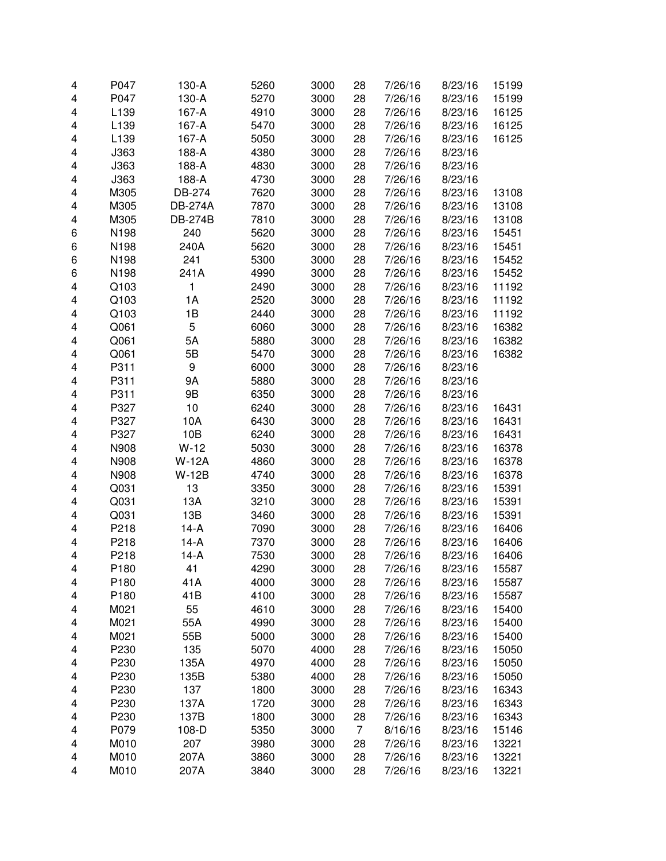| 4                       | P047             | 130-A          | 5260 | 3000 | 28             | 7/26/16 | 8/23/16 | 15199 |
|-------------------------|------------------|----------------|------|------|----------------|---------|---------|-------|
| $\overline{\mathbf{4}}$ | P047             | 130-A          | 5270 | 3000 | 28             | 7/26/16 | 8/23/16 | 15199 |
| 4                       | L139             | 167-A          | 4910 | 3000 | 28             | 7/26/16 | 8/23/16 | 16125 |
| 4                       | L139             | 167-A          | 5470 | 3000 | 28             | 7/26/16 | 8/23/16 | 16125 |
| 4                       | L139             | 167-A          | 5050 | 3000 | 28             | 7/26/16 | 8/23/16 | 16125 |
| 4                       | J363             | 188-A          | 4380 | 3000 | 28             | 7/26/16 | 8/23/16 |       |
| 4                       | J363             | 188-A          | 4830 | 3000 | 28             | 7/26/16 | 8/23/16 |       |
| $\overline{\mathbf{4}}$ | J363             | 188-A          | 4730 | 3000 | 28             | 7/26/16 | 8/23/16 |       |
| $\overline{\mathbf{4}}$ | M305             | DB-274         | 7620 | 3000 | 28             | 7/26/16 | 8/23/16 | 13108 |
| $\overline{\mathbf{4}}$ | M305             | <b>DB-274A</b> | 7870 | 3000 | 28             | 7/26/16 | 8/23/16 | 13108 |
| $\overline{\mathbf{4}}$ | M305             | <b>DB-274B</b> | 7810 | 3000 | 28             | 7/26/16 | 8/23/16 | 13108 |
| 6                       | N198             | 240            | 5620 | 3000 | 28             | 7/26/16 | 8/23/16 | 15451 |
| 6                       | N198             | 240A           | 5620 | 3000 | 28             | 7/26/16 | 8/23/16 | 15451 |
| 6                       | N198             | 241            | 5300 | 3000 | 28             | 7/26/16 | 8/23/16 | 15452 |
| 6                       | N198             | 241A           | 4990 | 3000 | 28             | 7/26/16 | 8/23/16 | 15452 |
| $\overline{\mathbf{4}}$ | Q103             | 1              | 2490 | 3000 | 28             | 7/26/16 | 8/23/16 | 11192 |
| 4                       | Q103             | 1A             | 2520 | 3000 | 28             | 7/26/16 | 8/23/16 | 11192 |
| 4                       | Q103             | 1B             | 2440 | 3000 | 28             | 7/26/16 | 8/23/16 | 11192 |
| $\overline{\mathbf{4}}$ | Q061             | 5              | 6060 | 3000 | 28             | 7/26/16 | 8/23/16 | 16382 |
| 4                       | Q061             | 5A             | 5880 | 3000 | 28             | 7/26/16 | 8/23/16 | 16382 |
| 4                       | Q061             | 5B             | 5470 | 3000 | 28             | 7/26/16 | 8/23/16 | 16382 |
| 4                       | P311             | 9              | 6000 | 3000 | 28             | 7/26/16 | 8/23/16 |       |
| 4                       | P311             | 9A             | 5880 | 3000 | 28             | 7/26/16 | 8/23/16 |       |
| 4                       | P311             | 9Β             | 6350 | 3000 | 28             | 7/26/16 | 8/23/16 |       |
| 4                       | P327             | 10             | 6240 | 3000 | 28             | 7/26/16 | 8/23/16 | 16431 |
|                         | P327             |                |      |      |                |         |         |       |
| 4                       |                  | 10A            | 6430 | 3000 | 28             | 7/26/16 | 8/23/16 | 16431 |
| $\overline{\mathbf{4}}$ | P327<br>N908     | 10B            | 6240 | 3000 | 28             | 7/26/16 | 8/23/16 | 16431 |
| 4                       |                  | $W-12$         | 5030 | 3000 | 28             | 7/26/16 | 8/23/16 | 16378 |
| $\overline{\mathbf{4}}$ | N908             | <b>W-12A</b>   | 4860 | 3000 | 28             | 7/26/16 | 8/23/16 | 16378 |
| $\overline{\mathbf{4}}$ | N908             | $W-12B$        | 4740 | 3000 | 28             | 7/26/16 | 8/23/16 | 16378 |
| $\overline{\mathbf{4}}$ | Q031             | 13             | 3350 | 3000 | 28             | 7/26/16 | 8/23/16 | 15391 |
| $\overline{\mathbf{4}}$ | Q031             | 13A            | 3210 | 3000 | 28             | 7/26/16 | 8/23/16 | 15391 |
| $\overline{\mathbf{4}}$ | Q031             | 13B            | 3460 | 3000 | 28             | 7/26/16 | 8/23/16 | 15391 |
| $\overline{\mathbf{4}}$ | P218             | $14-A$         | 7090 | 3000 | 28             | 7/26/16 | 8/23/16 | 16406 |
| $\overline{\mathbf{4}}$ | P218             | $14-A$         | 7370 | 3000 | 28             | 7/26/16 | 8/23/16 | 16406 |
| 4                       | P218             | $14-A$         | 7530 | 3000 | 28             | 7/26/16 | 8/23/16 | 16406 |
| 4                       | P <sub>180</sub> | 41             | 4290 | 3000 | 28             | 7/26/16 | 8/23/16 | 15587 |
| 4                       | P180             | 41A            | 4000 | 3000 | 28             | 7/26/16 | 8/23/16 | 15587 |
| 4                       | P180             | 41B            | 4100 | 3000 | 28             | 7/26/16 | 8/23/16 | 15587 |
| 4                       | M021             | 55             | 4610 | 3000 | 28             | 7/26/16 | 8/23/16 | 15400 |
| 4                       | M021             | 55A            | 4990 | 3000 | 28             | 7/26/16 | 8/23/16 | 15400 |
| 4                       | M021             | 55B            | 5000 | 3000 | 28             | 7/26/16 | 8/23/16 | 15400 |
| 4                       | P230             | 135            | 5070 | 4000 | 28             | 7/26/16 | 8/23/16 | 15050 |
| 4                       | P230             | 135A           | 4970 | 4000 | 28             | 7/26/16 | 8/23/16 | 15050 |
| 4                       | P230             | 135B           | 5380 | 4000 | 28             | 7/26/16 | 8/23/16 | 15050 |
| 4                       | P230             | 137            | 1800 | 3000 | 28             | 7/26/16 | 8/23/16 | 16343 |
| 4                       | P230             | 137A           | 1720 | 3000 | 28             | 7/26/16 | 8/23/16 | 16343 |
| 4                       | P230             | 137B           | 1800 | 3000 | 28             | 7/26/16 | 8/23/16 | 16343 |
| 4                       | P079             | 108-D          | 5350 | 3000 | $\overline{7}$ | 8/16/16 | 8/23/16 | 15146 |
| 4                       | M010             | 207            | 3980 | 3000 | 28             | 7/26/16 | 8/23/16 | 13221 |
| 4                       | M010             | 207A           | 3860 | 3000 | 28             | 7/26/16 | 8/23/16 | 13221 |
| 4                       | M010             | 207A           | 3840 | 3000 | 28             | 7/26/16 | 8/23/16 | 13221 |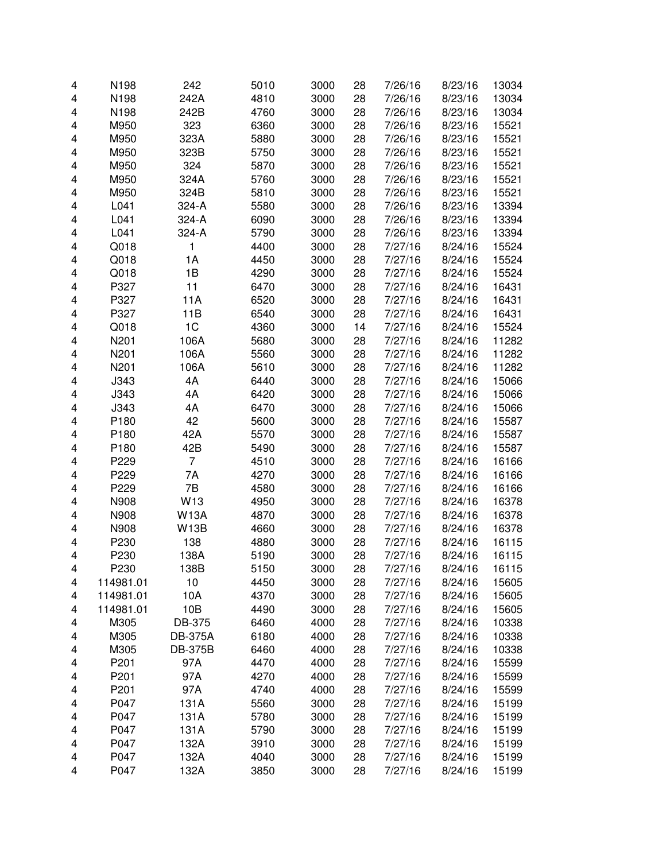| 4 | N198      | 242            | 5010 | 3000 | 28 | 7/26/16 | 8/23/16 | 13034 |
|---|-----------|----------------|------|------|----|---------|---------|-------|
| 4 | N198      | 242A           | 4810 | 3000 | 28 | 7/26/16 | 8/23/16 | 13034 |
| 4 | N198      | 242B           | 4760 | 3000 | 28 | 7/26/16 | 8/23/16 | 13034 |
| 4 | M950      | 323            | 6360 | 3000 | 28 | 7/26/16 | 8/23/16 | 15521 |
| 4 | M950      | 323A           | 5880 | 3000 | 28 | 7/26/16 | 8/23/16 | 15521 |
| 4 | M950      | 323B           | 5750 | 3000 | 28 | 7/26/16 | 8/23/16 | 15521 |
| 4 | M950      | 324            | 5870 | 3000 | 28 | 7/26/16 | 8/23/16 | 15521 |
|   |           |                |      |      |    |         |         |       |
| 4 | M950      | 324A           | 5760 | 3000 | 28 | 7/26/16 | 8/23/16 | 15521 |
| 4 | M950      | 324B           | 5810 | 3000 | 28 | 7/26/16 | 8/23/16 | 15521 |
| 4 | L041      | 324-A          | 5580 | 3000 | 28 | 7/26/16 | 8/23/16 | 13394 |
| 4 | L041      | 324-A          | 6090 | 3000 | 28 | 7/26/16 | 8/23/16 | 13394 |
| 4 | L041      | 324-A          | 5790 | 3000 | 28 | 7/26/16 | 8/23/16 | 13394 |
| 4 | Q018      | 1              | 4400 | 3000 | 28 | 7/27/16 | 8/24/16 | 15524 |
| 4 | Q018      | 1A             | 4450 | 3000 | 28 | 7/27/16 | 8/24/16 | 15524 |
| 4 | Q018      | 1B             | 4290 | 3000 | 28 | 7/27/16 | 8/24/16 | 15524 |
| 4 | P327      | 11             | 6470 | 3000 | 28 | 7/27/16 | 8/24/16 | 16431 |
| 4 | P327      | 11A            | 6520 | 3000 | 28 | 7/27/16 | 8/24/16 | 16431 |
| 4 | P327      | 11B            | 6540 | 3000 | 28 | 7/27/16 | 8/24/16 | 16431 |
| 4 | Q018      | 1 <sup>C</sup> | 4360 | 3000 | 14 | 7/27/16 | 8/24/16 | 15524 |
| 4 | N201      | 106A           | 5680 | 3000 | 28 | 7/27/16 | 8/24/16 | 11282 |
| 4 | N201      | 106A           | 5560 | 3000 | 28 | 7/27/16 | 8/24/16 | 11282 |
| 4 | N201      | 106A           | 5610 | 3000 | 28 | 7/27/16 | 8/24/16 | 11282 |
| 4 | J343      | 4A             | 6440 | 3000 | 28 | 7/27/16 | 8/24/16 | 15066 |
| 4 | J343      | 4A             | 6420 | 3000 | 28 | 7/27/16 | 8/24/16 | 15066 |
| 4 | J343      | 4A             | 6470 | 3000 | 28 | 7/27/16 | 8/24/16 | 15066 |
| 4 | P180      | 42             | 5600 | 3000 | 28 | 7/27/16 | 8/24/16 | 15587 |
| 4 | P180      | 42A            | 5570 | 3000 | 28 | 7/27/16 | 8/24/16 | 15587 |
| 4 | P180      | 42B            | 5490 | 3000 | 28 | 7/27/16 | 8/24/16 | 15587 |
| 4 | P229      | $\overline{7}$ | 4510 | 3000 | 28 | 7/27/16 | 8/24/16 | 16166 |
| 4 | P229      | 7A             | 4270 | 3000 | 28 | 7/27/16 | 8/24/16 | 16166 |
| 4 | P229      | 7B             | 4580 | 3000 | 28 | 7/27/16 | 8/24/16 | 16166 |
| 4 | N908      | W13            | 4950 | 3000 | 28 | 7/27/16 | 8/24/16 | 16378 |
| 4 | N908      | <b>W13A</b>    | 4870 | 3000 | 28 | 7/27/16 | 8/24/16 | 16378 |
| 4 | N908      | <b>W13B</b>    | 4660 | 3000 | 28 | 7/27/16 | 8/24/16 | 16378 |
| 4 | P230      | 138            | 4880 | 3000 | 28 | 7/27/16 | 8/24/16 | 16115 |
| 4 | P230      | 138A           | 5190 | 3000 | 28 | 7/27/16 | 8/24/16 | 16115 |
| 4 | P230      | 138B           | 5150 | 3000 | 28 | 7/27/16 | 8/24/16 | 16115 |
| 4 | 114981.01 | 10             | 4450 | 3000 | 28 | 7/27/16 | 8/24/16 | 15605 |
| 4 | 114981.01 | 10A            | 4370 | 3000 | 28 | 7/27/16 | 8/24/16 | 15605 |
|   | 114981.01 | 10B            | 4490 | 3000 | 28 | 7/27/16 | 8/24/16 | 15605 |
| 4 | M305      |                |      | 4000 |    |         |         |       |
| 4 | M305      | DB-375         | 6460 |      | 28 | 7/27/16 | 8/24/16 | 10338 |
| 4 |           | <b>DB-375A</b> | 6180 | 4000 | 28 | 7/27/16 | 8/24/16 | 10338 |
| 4 | M305      | <b>DB-375B</b> | 6460 | 4000 | 28 | 7/27/16 | 8/24/16 | 10338 |
| 4 | P201      | 97A            | 4470 | 4000 | 28 | 7/27/16 | 8/24/16 | 15599 |
| 4 | P201      | 97A            | 4270 | 4000 | 28 | 7/27/16 | 8/24/16 | 15599 |
| 4 | P201      | 97A            | 4740 | 4000 | 28 | 7/27/16 | 8/24/16 | 15599 |
| 4 | P047      | 131A           | 5560 | 3000 | 28 | 7/27/16 | 8/24/16 | 15199 |
| 4 | P047      | 131A           | 5780 | 3000 | 28 | 7/27/16 | 8/24/16 | 15199 |
| 4 | P047      | 131A           | 5790 | 3000 | 28 | 7/27/16 | 8/24/16 | 15199 |
| 4 | P047      | 132A           | 3910 | 3000 | 28 | 7/27/16 | 8/24/16 | 15199 |
| 4 | P047      | 132A           | 4040 | 3000 | 28 | 7/27/16 | 8/24/16 | 15199 |
| 4 | P047      | 132A           | 3850 | 3000 | 28 | 7/27/16 | 8/24/16 | 15199 |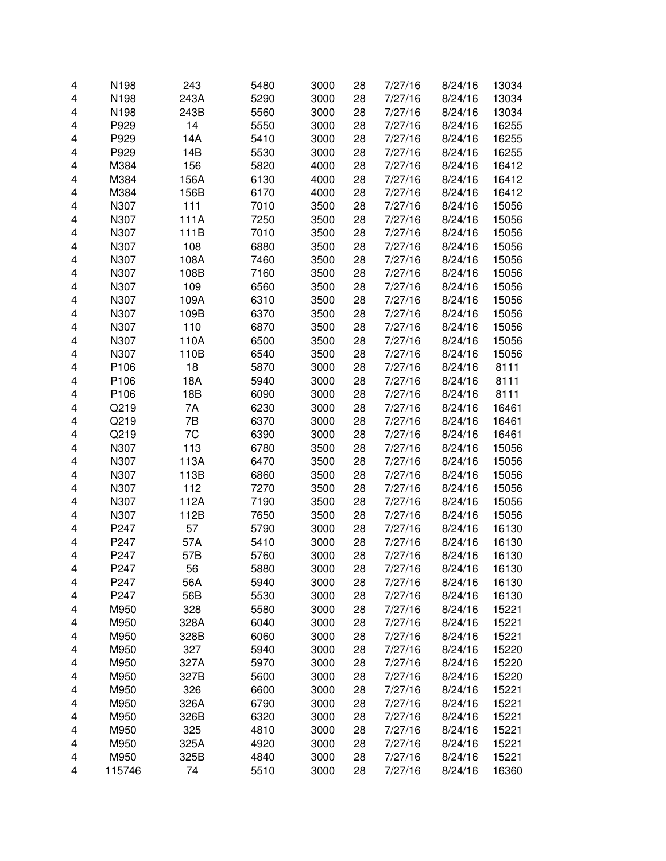| 4                       | N198   | 243  | 5480 | 3000 | 28 | 7/27/16 | 8/24/16 | 13034 |
|-------------------------|--------|------|------|------|----|---------|---------|-------|
| 4                       | N198   | 243A | 5290 | 3000 | 28 | 7/27/16 | 8/24/16 | 13034 |
| 4                       | N198   | 243B | 5560 | 3000 | 28 | 7/27/16 | 8/24/16 | 13034 |
| 4                       | P929   | 14   | 5550 | 3000 | 28 | 7/27/16 | 8/24/16 | 16255 |
| 4                       | P929   | 14A  | 5410 | 3000 | 28 | 7/27/16 | 8/24/16 | 16255 |
| 4                       | P929   | 14B  | 5530 | 3000 | 28 | 7/27/16 | 8/24/16 | 16255 |
| 4                       | M384   | 156  | 5820 | 4000 | 28 | 7/27/16 | 8/24/16 | 16412 |
| 4                       | M384   | 156A | 6130 | 4000 | 28 | 7/27/16 | 8/24/16 | 16412 |
| 4                       | M384   | 156B | 6170 | 4000 | 28 | 7/27/16 | 8/24/16 | 16412 |
| 4                       | N307   | 111  | 7010 | 3500 | 28 | 7/27/16 | 8/24/16 | 15056 |
| 4                       | N307   | 111A | 7250 | 3500 | 28 | 7/27/16 | 8/24/16 | 15056 |
| 4                       | N307   | 111B | 7010 | 3500 | 28 | 7/27/16 | 8/24/16 | 15056 |
| 4                       | N307   | 108  | 6880 | 3500 | 28 | 7/27/16 | 8/24/16 | 15056 |
| 4                       | N307   | 108A | 7460 | 3500 | 28 | 7/27/16 | 8/24/16 | 15056 |
| $\overline{\mathbf{4}}$ | N307   | 108B | 7160 | 3500 | 28 | 7/27/16 | 8/24/16 | 15056 |
|                         | N307   |      |      |      | 28 |         | 8/24/16 |       |
| 4                       |        | 109  | 6560 | 3500 |    | 7/27/16 |         | 15056 |
| 4                       | N307   | 109A | 6310 | 3500 | 28 | 7/27/16 | 8/24/16 | 15056 |
| 4                       | N307   | 109B | 6370 | 3500 | 28 | 7/27/16 | 8/24/16 | 15056 |
| 4                       | N307   | 110  | 6870 | 3500 | 28 | 7/27/16 | 8/24/16 | 15056 |
| 4                       | N307   | 110A | 6500 | 3500 | 28 | 7/27/16 | 8/24/16 | 15056 |
| 4                       | N307   | 110B | 6540 | 3500 | 28 | 7/27/16 | 8/24/16 | 15056 |
| 4                       | P106   | 18   | 5870 | 3000 | 28 | 7/27/16 | 8/24/16 | 8111  |
| 4                       | P106   | 18A  | 5940 | 3000 | 28 | 7/27/16 | 8/24/16 | 8111  |
| 4                       | P106   | 18B  | 6090 | 3000 | 28 | 7/27/16 | 8/24/16 | 8111  |
| 4                       | Q219   | 7A   | 6230 | 3000 | 28 | 7/27/16 | 8/24/16 | 16461 |
| 4                       | Q219   | 7B   | 6370 | 3000 | 28 | 7/27/16 | 8/24/16 | 16461 |
| 4                       | Q219   | 7C   | 6390 | 3000 | 28 | 7/27/16 | 8/24/16 | 16461 |
| 4                       | N307   | 113  | 6780 | 3500 | 28 | 7/27/16 | 8/24/16 | 15056 |
| 4                       | N307   | 113A | 6470 | 3500 | 28 | 7/27/16 | 8/24/16 | 15056 |
| 4                       | N307   | 113B | 6860 | 3500 | 28 | 7/27/16 | 8/24/16 | 15056 |
| 4                       | N307   | 112  | 7270 | 3500 | 28 | 7/27/16 | 8/24/16 | 15056 |
| $\overline{\mathbf{4}}$ | N307   | 112A | 7190 | 3500 | 28 | 7/27/16 | 8/24/16 | 15056 |
| 4                       | N307   | 112B | 7650 | 3500 | 28 | 7/27/16 | 8/24/16 | 15056 |
| 4                       | P247   | 57   | 5790 | 3000 | 28 | 7/27/16 | 8/24/16 | 16130 |
| 4                       | P247   | 57A  | 5410 | 3000 | 28 | 7/27/16 | 8/24/16 | 16130 |
| 4                       | P247   | 57B  | 5760 | 3000 | 28 | 7/27/16 | 8/24/16 | 16130 |
| 4                       | P247   | 56   | 5880 | 3000 | 28 | 7/27/16 | 8/24/16 | 16130 |
| 4                       | P247   | 56A  | 5940 | 3000 | 28 | 7/27/16 | 8/24/16 | 16130 |
| 4                       | P247   | 56B  | 5530 | 3000 | 28 | 7/27/16 | 8/24/16 | 16130 |
| 4                       | M950   | 328  | 5580 | 3000 | 28 | 7/27/16 | 8/24/16 | 15221 |
| 4                       | M950   | 328A | 6040 | 3000 | 28 | 7/27/16 | 8/24/16 | 15221 |
| 4                       | M950   | 328B | 6060 | 3000 | 28 | 7/27/16 | 8/24/16 | 15221 |
| 4                       | M950   | 327  | 5940 | 3000 | 28 | 7/27/16 | 8/24/16 | 15220 |
| 4                       | M950   | 327A | 5970 | 3000 | 28 | 7/27/16 | 8/24/16 | 15220 |
| 4                       | M950   | 327B | 5600 | 3000 | 28 | 7/27/16 | 8/24/16 | 15220 |
| 4                       | M950   | 326  | 6600 | 3000 | 28 | 7/27/16 | 8/24/16 | 15221 |
| 4                       | M950   | 326A | 6790 | 3000 | 28 | 7/27/16 | 8/24/16 | 15221 |
| 4                       | M950   | 326B | 6320 | 3000 | 28 | 7/27/16 | 8/24/16 | 15221 |
| 4                       | M950   | 325  | 4810 | 3000 | 28 | 7/27/16 | 8/24/16 | 15221 |
| 4                       | M950   | 325A | 4920 | 3000 | 28 | 7/27/16 | 8/24/16 | 15221 |
| 4                       | M950   | 325B | 4840 | 3000 | 28 | 7/27/16 | 8/24/16 | 15221 |
| 4                       | 115746 | 74   | 5510 | 3000 | 28 | 7/27/16 | 8/24/16 | 16360 |
|                         |        |      |      |      |    |         |         |       |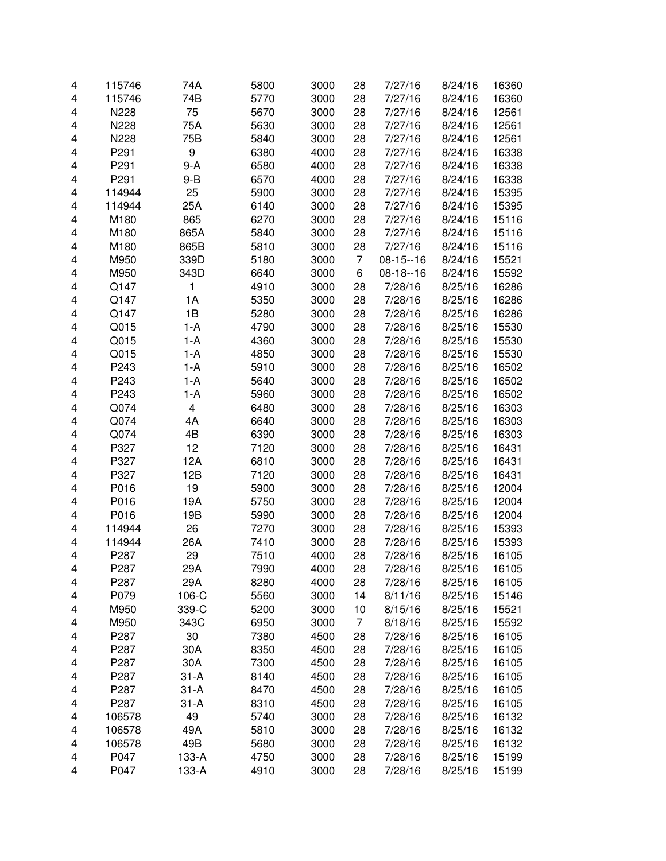| 4 | 115746 | 74A      | 5800 | 3000 | 28             | 7/27/16    | 8/24/16 | 16360 |
|---|--------|----------|------|------|----------------|------------|---------|-------|
| 4 | 115746 | 74B      | 5770 | 3000 | 28             | 7/27/16    | 8/24/16 | 16360 |
| 4 | N228   | 75       | 5670 | 3000 | 28             | 7/27/16    | 8/24/16 | 12561 |
| 4 | N228   | 75A      | 5630 | 3000 | 28             | 7/27/16    | 8/24/16 | 12561 |
| 4 | N228   | 75B      | 5840 | 3000 | 28             | 7/27/16    | 8/24/16 | 12561 |
| 4 | P291   | 9        | 6380 | 4000 | 28             | 7/27/16    | 8/24/16 | 16338 |
| 4 | P291   | 9-A      | 6580 | 4000 | 28             | 7/27/16    | 8/24/16 | 16338 |
| 4 | P291   | $9 - B$  | 6570 | 4000 | 28             | 7/27/16    | 8/24/16 | 16338 |
| 4 | 114944 | 25       | 5900 | 3000 | 28             | 7/27/16    | 8/24/16 | 15395 |
| 4 | 114944 | 25A      | 6140 | 3000 | 28             | 7/27/16    | 8/24/16 | 15395 |
| 4 | M180   | 865      | 6270 | 3000 | 28             | 7/27/16    | 8/24/16 | 15116 |
| 4 | M180   | 865A     | 5840 | 3000 | 28             | 7/27/16    | 8/24/16 | 15116 |
| 4 | M180   | 865B     | 5810 | 3000 | 28             | 7/27/16    | 8/24/16 | 15116 |
| 4 | M950   | 339D     | 5180 | 3000 | $\overline{7}$ | $08-15-16$ | 8/24/16 | 15521 |
| 4 | M950   | 343D     | 6640 | 3000 | 6              | $08-18-16$ | 8/24/16 | 15592 |
| 4 | Q147   | 1        | 4910 | 3000 | 28             | 7/28/16    | 8/25/16 | 16286 |
| 4 | Q147   | 1A       | 5350 | 3000 | 28             | 7/28/16    | 8/25/16 | 16286 |
| 4 | Q147   | 1B       | 5280 | 3000 | 28             | 7/28/16    | 8/25/16 | 16286 |
| 4 | Q015   | 1-A      | 4790 | 3000 | 28             | 7/28/16    | 8/25/16 | 15530 |
| 4 | Q015   | $1-A$    | 4360 | 3000 | 28             | 7/28/16    | 8/25/16 | 15530 |
| 4 | Q015   | 1-A      | 4850 | 3000 | 28             | 7/28/16    | 8/25/16 | 15530 |
| 4 | P243   | 1-A      | 5910 | 3000 | 28             | 7/28/16    | 8/25/16 | 16502 |
| 4 | P243   | 1-A      | 5640 | 3000 | 28             | 7/28/16    | 8/25/16 | 16502 |
| 4 | P243   | 1-A      | 5960 | 3000 | 28             | 7/28/16    | 8/25/16 | 16502 |
| 4 | Q074   | 4        | 6480 | 3000 | 28             | 7/28/16    | 8/25/16 | 16303 |
| 4 | Q074   | 4A       | 6640 | 3000 | 28             | 7/28/16    | 8/25/16 | 16303 |
| 4 | Q074   | 4B       | 6390 | 3000 | 28             | 7/28/16    | 8/25/16 | 16303 |
| 4 | P327   | 12       | 7120 | 3000 | 28             | 7/28/16    | 8/25/16 | 16431 |
| 4 | P327   | 12A      | 6810 | 3000 | 28             | 7/28/16    | 8/25/16 | 16431 |
| 4 | P327   | 12B      | 7120 | 3000 | 28             | 7/28/16    | 8/25/16 | 16431 |
| 4 | P016   | 19       | 5900 | 3000 | 28             | 7/28/16    | 8/25/16 | 12004 |
| 4 | P016   | 19A      | 5750 | 3000 | 28             | 7/28/16    | 8/25/16 | 12004 |
| 4 | P016   | 19B      | 5990 | 3000 | 28             | 7/28/16    | 8/25/16 | 12004 |
| 4 | 114944 | 26       | 7270 | 3000 | 28             | 7/28/16    | 8/25/16 | 15393 |
| 4 | 114944 | 26A      | 7410 | 3000 | 28             | 7/28/16    | 8/25/16 | 15393 |
| 4 | P287   | 29       | 7510 | 4000 | 28             | 7/28/16    | 8/25/16 | 16105 |
| 4 | P287   | 29A      | 7990 | 4000 | 28             | 7/28/16    | 8/25/16 | 16105 |
| 4 | P287   | 29A      | 8280 | 4000 | 28             | 7/28/16    | 8/25/16 | 16105 |
| 4 | P079   | 106-C    | 5560 | 3000 | 14             | 8/11/16    | 8/25/16 | 15146 |
| 4 | M950   | 339-C    | 5200 | 3000 | 10             | 8/15/16    | 8/25/16 | 15521 |
| 4 | M950   | 343C     | 6950 | 3000 | 7              | 8/18/16    | 8/25/16 | 15592 |
| 4 | P287   | 30       | 7380 | 4500 | 28             | 7/28/16    | 8/25/16 | 16105 |
| 4 | P287   | 30A      | 8350 | 4500 | 28             | 7/28/16    | 8/25/16 | 16105 |
| 4 | P287   | 30A      | 7300 | 4500 | 28             | 7/28/16    | 8/25/16 | 16105 |
| 4 | P287   | $31-A$   | 8140 | 4500 | 28             | 7/28/16    | 8/25/16 | 16105 |
| 4 | P287   | $31-A$   | 8470 | 4500 | 28             | 7/28/16    | 8/25/16 | 16105 |
| 4 | P287   | $31 - A$ | 8310 | 4500 | 28             | 7/28/16    | 8/25/16 | 16105 |
| 4 | 106578 | 49       | 5740 | 3000 | 28             | 7/28/16    | 8/25/16 | 16132 |
| 4 | 106578 | 49A      | 5810 | 3000 | 28             | 7/28/16    | 8/25/16 | 16132 |
| 4 | 106578 | 49B      | 5680 | 3000 | 28             | 7/28/16    | 8/25/16 | 16132 |
| 4 | P047   | 133-A    | 4750 | 3000 | 28             | 7/28/16    | 8/25/16 | 15199 |
| 4 | P047   | 133-A    | 4910 | 3000 | 28             | 7/28/16    | 8/25/16 | 15199 |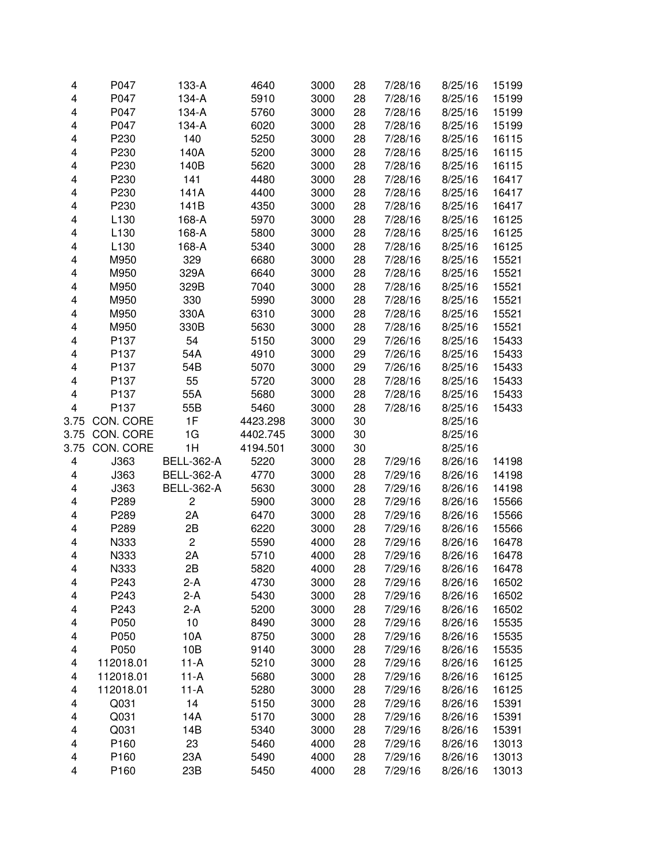| 4    | P047             | 133-A             | 4640     | 3000 | 28 | 7/28/16 | 8/25/16 | 15199 |
|------|------------------|-------------------|----------|------|----|---------|---------|-------|
| 4    | P047             | 134-A             | 5910     | 3000 | 28 | 7/28/16 | 8/25/16 | 15199 |
| 4    | P047             | 134-A             | 5760     | 3000 | 28 | 7/28/16 | 8/25/16 | 15199 |
| 4    | P047             | 134-A             | 6020     | 3000 | 28 | 7/28/16 | 8/25/16 | 15199 |
| 4    | P230             | 140               | 5250     | 3000 | 28 | 7/28/16 | 8/25/16 | 16115 |
| 4    | P230             | 140A              | 5200     | 3000 | 28 | 7/28/16 | 8/25/16 | 16115 |
| 4    | P230             | 140B              | 5620     | 3000 | 28 | 7/28/16 | 8/25/16 | 16115 |
| 4    | P230             | 141               | 4480     | 3000 | 28 | 7/28/16 | 8/25/16 | 16417 |
| 4    | P230             | 141A              | 4400     | 3000 | 28 | 7/28/16 | 8/25/16 | 16417 |
| 4    | P230             | 141B              | 4350     | 3000 | 28 | 7/28/16 | 8/25/16 | 16417 |
| 4    | L <sub>130</sub> | 168-A             | 5970     | 3000 | 28 | 7/28/16 | 8/25/16 | 16125 |
| 4    | L <sub>130</sub> | 168-A             | 5800     | 3000 | 28 | 7/28/16 | 8/25/16 | 16125 |
| 4    | L <sub>130</sub> | 168-A             | 5340     | 3000 | 28 | 7/28/16 | 8/25/16 | 16125 |
| 4    | M950             | 329               | 6680     | 3000 | 28 | 7/28/16 | 8/25/16 | 15521 |
| 4    | M950             | 329A              | 6640     | 3000 | 28 | 7/28/16 | 8/25/16 | 15521 |
| 4    | M950             | 329B              | 7040     | 3000 | 28 | 7/28/16 | 8/25/16 | 15521 |
| 4    | M950             | 330               | 5990     | 3000 | 28 | 7/28/16 | 8/25/16 | 15521 |
| 4    | M950             | 330A              | 6310     | 3000 | 28 | 7/28/16 | 8/25/16 | 15521 |
| 4    | M950             | 330B              | 5630     | 3000 | 28 | 7/28/16 | 8/25/16 | 15521 |
| 4    | P <sub>137</sub> | 54                | 5150     | 3000 | 29 | 7/26/16 | 8/25/16 | 15433 |
|      | P137             | 54A               |          |      |    | 7/26/16 |         |       |
| 4    |                  |                   | 4910     | 3000 | 29 |         | 8/25/16 | 15433 |
| 4    | P <sub>137</sub> | 54B               | 5070     | 3000 | 29 | 7/26/16 | 8/25/16 | 15433 |
| 4    | P <sub>137</sub> | 55                | 5720     | 3000 | 28 | 7/28/16 | 8/25/16 | 15433 |
| 4    | P137             | 55A               | 5680     | 3000 | 28 | 7/28/16 | 8/25/16 | 15433 |
| 4    | P137             | 55B               | 5460     | 3000 | 28 | 7/28/16 | 8/25/16 | 15433 |
| 3.75 | CON. CORE        | 1F                | 4423.298 | 3000 | 30 |         | 8/25/16 |       |
| 3.75 | CON. CORE        | 1G                | 4402.745 | 3000 | 30 |         | 8/25/16 |       |
| 3.75 | CON. CORE        | 1H                | 4194.501 | 3000 | 30 |         | 8/25/16 |       |
| 4    | J363             | <b>BELL-362-A</b> | 5220     | 3000 | 28 | 7/29/16 | 8/26/16 | 14198 |
| 4    | J363             | <b>BELL-362-A</b> | 4770     | 3000 | 28 | 7/29/16 | 8/26/16 | 14198 |
| 4    | J363             | <b>BELL-362-A</b> | 5630     | 3000 | 28 | 7/29/16 | 8/26/16 | 14198 |
| 4    | P289             | $\overline{c}$    | 5900     | 3000 | 28 | 7/29/16 | 8/26/16 | 15566 |
| 4    | P289             | 2A                | 6470     | 3000 | 28 | 7/29/16 | 8/26/16 | 15566 |
| 4    | P289             | 2B                | 6220     | 3000 | 28 | 7/29/16 | 8/26/16 | 15566 |
| 4    | N333             | 2                 | 5590     | 4000 | 28 | 7/29/16 | 8/26/16 | 16478 |
| 4    | N333             | 2A                | 5710     | 4000 | 28 | 7/29/16 | 8/26/16 | 16478 |
| 4    | N333             | 2В                | 5820     | 4000 | 28 | 7/29/16 | 8/26/16 | 16478 |
| 4    | P243             | 2-A               | 4730     | 3000 | 28 | 7/29/16 | 8/26/16 | 16502 |
| 4    | P243             | $2-A$             | 5430     | 3000 | 28 | 7/29/16 | 8/26/16 | 16502 |
| 4    | P243             | $2-A$             | 5200     | 3000 | 28 | 7/29/16 | 8/26/16 | 16502 |
| 4    | P050             | 10                | 8490     | 3000 | 28 | 7/29/16 | 8/26/16 | 15535 |
| 4    | P050             | 10A               | 8750     | 3000 | 28 | 7/29/16 | 8/26/16 | 15535 |
| 4    | P050             | 10B               | 9140     | 3000 | 28 | 7/29/16 | 8/26/16 | 15535 |
| 4    | 112018.01        | $11-A$            | 5210     | 3000 | 28 | 7/29/16 | 8/26/16 | 16125 |
| 4    | 112018.01        | $11-A$            | 5680     | 3000 | 28 | 7/29/16 | 8/26/16 | 16125 |
| 4    | 112018.01        | $11-A$            | 5280     | 3000 | 28 | 7/29/16 | 8/26/16 | 16125 |
| 4    | Q031             | 14                | 5150     | 3000 | 28 | 7/29/16 | 8/26/16 | 15391 |
| 4    | Q031             | 14A               | 5170     | 3000 | 28 | 7/29/16 | 8/26/16 | 15391 |
| 4    | Q031             | 14B               | 5340     | 3000 | 28 | 7/29/16 | 8/26/16 | 15391 |
| 4    | P160             | 23                | 5460     | 4000 | 28 | 7/29/16 | 8/26/16 | 13013 |
| 4    | P160             | 23A               | 5490     | 4000 | 28 | 7/29/16 | 8/26/16 | 13013 |
| 4    | P160             | 23B               | 5450     | 4000 | 28 | 7/29/16 | 8/26/16 | 13013 |
|      |                  |                   |          |      |    |         |         |       |